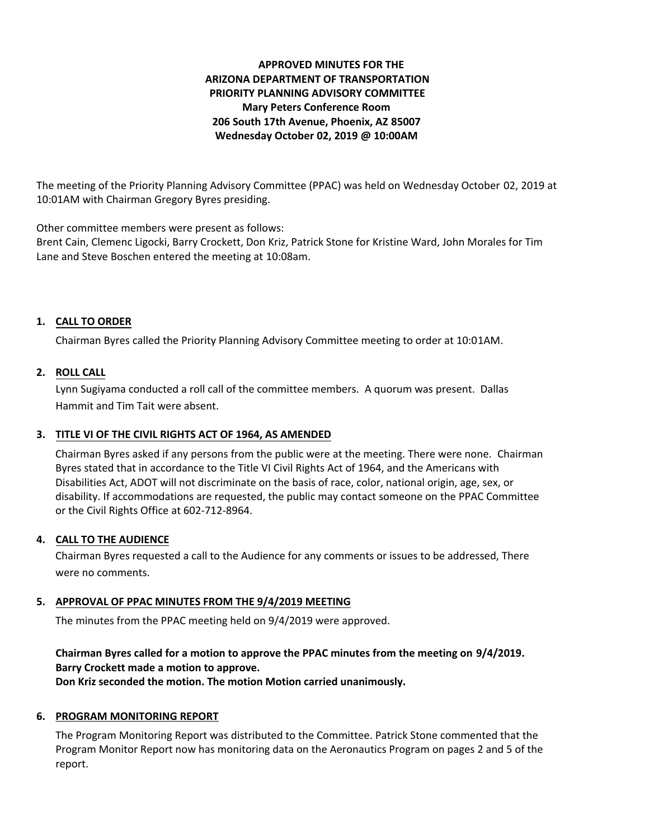# **APPROVED MINUTES FOR THE ARIZONA DEPARTMENT OF TRANSPORTATION PRIORITY PLANNING ADVISORY COMMITTEE Mary Peters Conference Room 206 South 17th Avenue, Phoenix, AZ 85007 Wednesday October 02, 2019 @ 10:00AM**

The meeting of the Priority Planning Advisory Committee (PPAC) was held on Wednesday October 02, 2019 at 10:01AM with Chairman Gregory Byres presiding.

Other committee members were present as follows:

Brent Cain, Clemenc Ligocki, Barry Crockett, Don Kriz, Patrick Stone for Kristine Ward, John Morales for Tim Lane and Steve Boschen entered the meeting at 10:08am.

### **CALL TO ORDER 1.**

Chairman Byres called the Priority Planning Advisory Committee meeting to order at 10:01AM.

### **ROLL CALL 2.**

Lynn Sugiyama conducted a roll call of the committee members. A quorum was present. Dallas Hammit and Tim Tait were absent.

#### **TITLE VI OF THE CIVIL RIGHTS ACT OF 1964, AS AMENDED 3.**

Chairman Byres asked if any persons from the public were at the meeting. There were none. Chairman Byres stated that in accordance to the Title VI Civil Rights Act of 1964, and the Americans with Disabilities Act, ADOT will not discriminate on the basis of race, color, national origin, age, sex, or disability. If accommodations are requested, the public may contact someone on the PPAC Committee or the Civil Rights Office at 602-712-8964.

# **CALL TO THE AUDIENCE 4.**

Chairman Byres requested a call to the Audience for any comments or issues to be addressed, There were no comments.

# **APPROVAL OF PPAC MINUTES FROM THE 9/4/2019 MEETING 5.**

The minutes from the PPAC meeting held on 9/4/2019 were approved.

# **Chairman Byres called for a motion to approve the PPAC minutes from the meeting on 9/4/2019. Barry Crockett made a motion to approve. Don Kriz seconded the motion. The motion Motion carried unanimously.**

# **6. PROGRAM MONITORING REPORT**

The Program Monitoring Report was distributed to the Committee. Patrick Stone commented that the Program Monitor Report now has monitoring data on the Aeronautics Program on pages 2 and 5 of the report.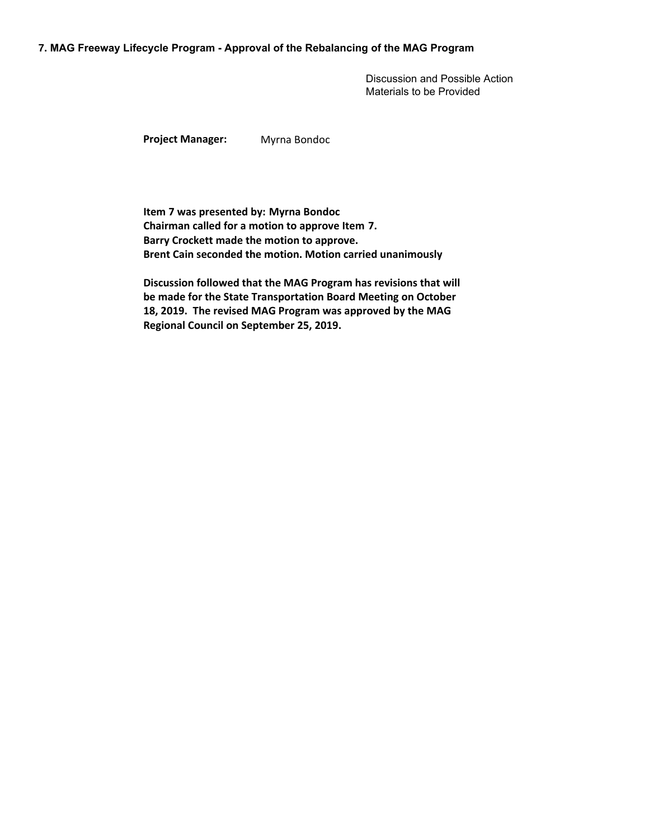#### **7. MAG Freeway Lifecycle Program - Approval of the Rebalancing of the MAG Program**

Discussion and Possible Action Materials to be Provided

**Project Manager:** Myrna Bondoc

**Item 7 was presented by: Myrna Bondoc Chairman called for a motion to approve Item 7. Barry Crockett made the motion to approve. Brent Cain seconded the motion. Motion carried unanimously**

**Discussion followed that the MAG Program has revisions that will be made for the State Transportation Board Meeting on October 18, 2019. The revised MAG Program was approved by the MAG Regional Council on September 25, 2019.**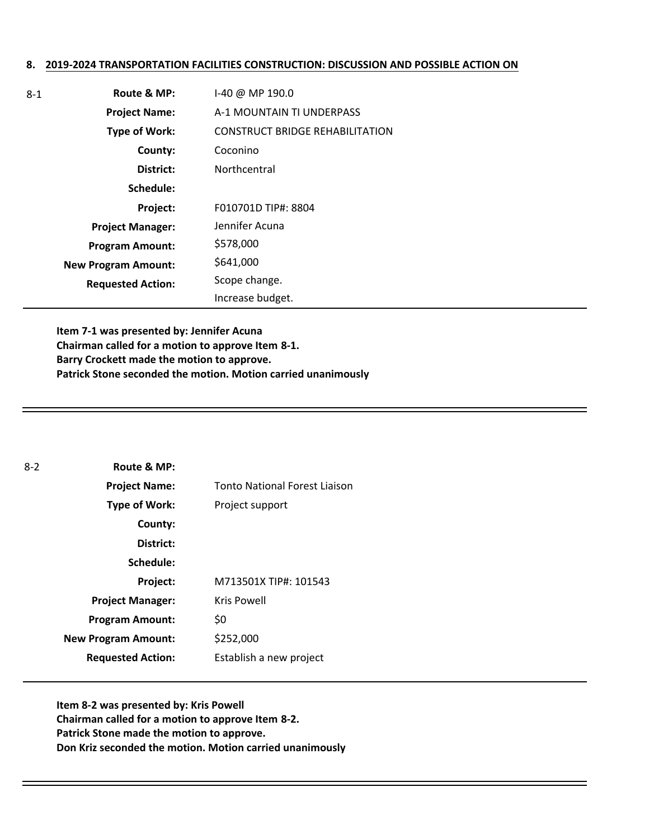#### **8. 2019-2024 TRANSPORTATION FACILITIES CONSTRUCTION: DISCUSSION AND POSSIBLE ACTION ON**

| $8 - 1$ | Route & MP:                | I-40 @ MP 190.0                        |
|---------|----------------------------|----------------------------------------|
|         | <b>Project Name:</b>       | A-1 MOUNTAIN TI UNDERPASS              |
|         | <b>Type of Work:</b>       | <b>CONSTRUCT BRIDGE REHABILITATION</b> |
|         | County:                    | Coconino                               |
|         | District:                  | Northcentral                           |
|         | Schedule:                  |                                        |
|         | Project:                   | F010701D TIP#: 8804                    |
|         | <b>Project Manager:</b>    | Jennifer Acuna                         |
|         | <b>Program Amount:</b>     | \$578,000                              |
|         | <b>New Program Amount:</b> | \$641,000                              |
|         | <b>Requested Action:</b>   | Scope change.                          |
|         |                            | Increase budget.                       |

**Item 7-1 was presented by: Jennifer Acuna Chairman called for a motion to approve Item 8-1. Barry Crockett made the motion to approve. Patrick Stone seconded the motion. Motion carried unanimously**

| $8 - 2$ | Route & MP:                |                               |
|---------|----------------------------|-------------------------------|
|         | <b>Project Name:</b>       | Tonto National Forest Liaison |
|         | Type of Work:              | Project support               |
|         | County:                    |                               |
|         | District:                  |                               |
|         | Schedule:                  |                               |
|         | <b>Project:</b>            | M713501X TIP#: 101543         |
|         | <b>Project Manager:</b>    | <b>Kris Powell</b>            |
|         | <b>Program Amount:</b>     | \$0                           |
|         | <b>New Program Amount:</b> | \$252,000                     |
|         | <b>Requested Action:</b>   | Establish a new project       |

**Item 8-2 was presented by: Kris Powell Chairman called for a motion to approve Item 8-2. Patrick Stone made the motion to approve. Don Kriz seconded the motion. Motion carried unanimously**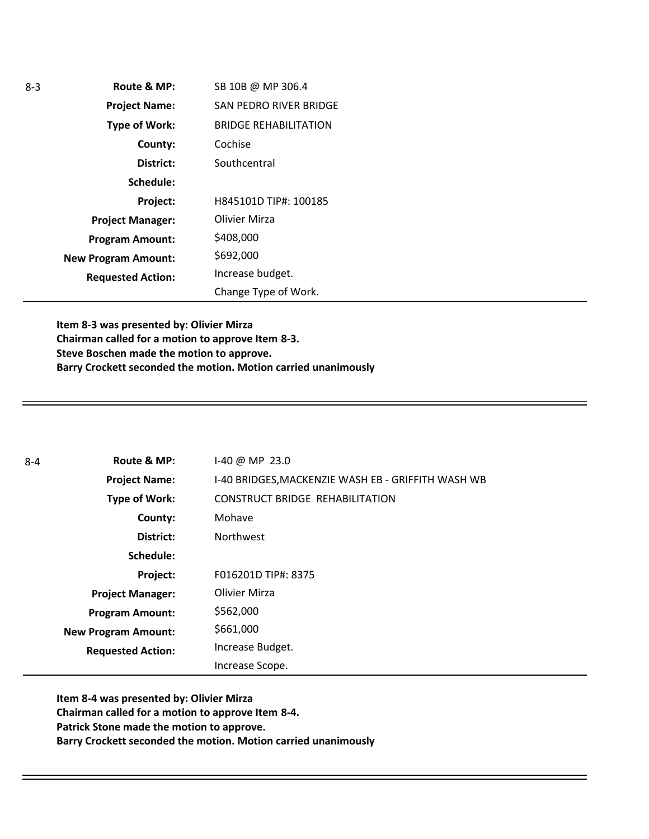| $8-3$ | Route & MP:                | SB 10B @ MP 306.4             |
|-------|----------------------------|-------------------------------|
|       | <b>Project Name:</b>       | <b>SAN PEDRO RIVER BRIDGE</b> |
|       | <b>Type of Work:</b>       | <b>BRIDGE REHABILITATION</b>  |
|       | County:                    | Cochise                       |
|       | District:                  | Southcentral                  |
|       | Schedule:                  |                               |
|       | Project:                   | H845101D TIP#: 100185         |
|       | <b>Project Manager:</b>    | Olivier Mirza                 |
|       | <b>Program Amount:</b>     | \$408,000                     |
|       | <b>New Program Amount:</b> | \$692,000                     |
|       | <b>Requested Action:</b>   | Increase budget.              |
|       |                            | Change Type of Work.          |

**Item 8-3 was presented by: Olivier Mirza Chairman called for a motion to approve Item 8-3. Steve Boschen made the motion to approve. Barry Crockett seconded the motion. Motion carried unanimously**

| $8 - 4$ | Route & MP:                | I-40 @ MP 23.0                                     |
|---------|----------------------------|----------------------------------------------------|
|         | <b>Project Name:</b>       | I-40 BRIDGES, MACKENZIE WASH EB - GRIFFITH WASH WB |
|         | Type of Work:              | <b>CONSTRUCT BRIDGE REHABILITATION</b>             |
|         | County:                    | Mohave                                             |
|         | District:                  | Northwest                                          |
|         | Schedule:                  |                                                    |
|         | Project:                   | F016201D TIP#: 8375                                |
|         | <b>Project Manager:</b>    | Olivier Mirza                                      |
|         | <b>Program Amount:</b>     | \$562,000                                          |
|         | <b>New Program Amount:</b> | \$661,000                                          |
|         | <b>Requested Action:</b>   | Increase Budget.                                   |
|         |                            | Increase Scope.                                    |

**Item 8-4 was presented by: Olivier Mirza Chairman called for a motion to approve Item 8-4. Patrick Stone made the motion to approve. Barry Crockett seconded the motion. Motion carried unanimously**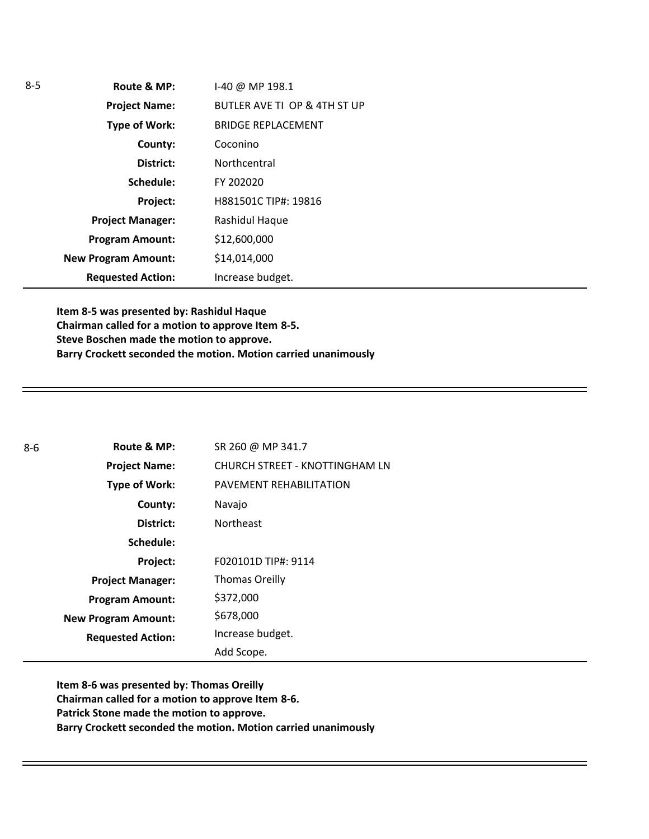| 5 | Route & MP:                | I-40 @ MP 198.1              |
|---|----------------------------|------------------------------|
|   | <b>Project Name:</b>       | BUTLER AVE TI OP & 4TH ST UP |
|   | <b>Type of Work:</b>       | <b>BRIDGE REPLACEMENT</b>    |
|   | County:                    | Coconino                     |
|   | District:                  | Northcentral                 |
|   | Schedule:                  | FY 202020                    |
|   | Project:                   | H881501C TIP#: 19816         |
|   | <b>Project Manager:</b>    | Rashidul Haque               |
|   | <b>Program Amount:</b>     | \$12,600,000                 |
|   | <b>New Program Amount:</b> | \$14,014,000                 |
|   | <b>Requested Action:</b>   | Increase budget.             |

**Item 8-5 was presented by: Rashidul Haque Chairman called for a motion to approve Item 8-5. Steve Boschen made the motion to approve. Barry Crockett seconded the motion. Motion carried unanimously**

| $8 - 6$ | Route & MP:                | SR 260 @ MP 341.7              |
|---------|----------------------------|--------------------------------|
|         | <b>Project Name:</b>       | CHURCH STREET - KNOTTINGHAM LN |
|         | <b>Type of Work:</b>       | PAVEMENT REHABILITATION        |
|         | County:                    | Navajo                         |
|         | District:                  | <b>Northeast</b>               |
|         | Schedule:                  |                                |
|         | Project:                   | F020101D TIP#: 9114            |
|         | <b>Project Manager:</b>    | <b>Thomas Oreilly</b>          |
|         | <b>Program Amount:</b>     | \$372,000                      |
|         | <b>New Program Amount:</b> | \$678,000                      |
|         | <b>Requested Action:</b>   | Increase budget.               |
|         |                            | Add Scope.                     |

**Item 8-6 was presented by: Thomas Oreilly Chairman called for a motion to approve Item 8-6. Patrick Stone made the motion to approve. Barry Crockett seconded the motion. Motion carried unanimously**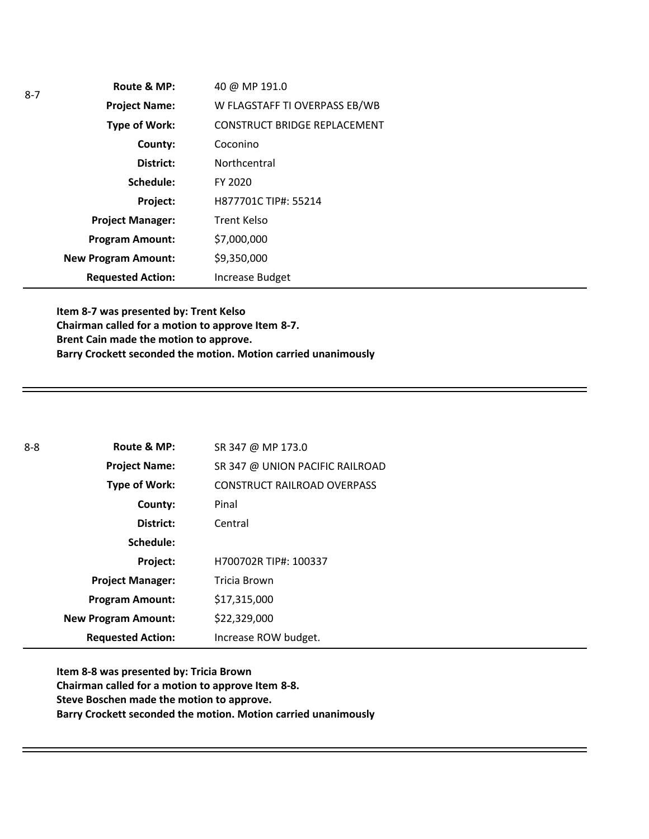|  | Route & MP:                | 40 @ MP 191.0                       |
|--|----------------------------|-------------------------------------|
|  | <b>Project Name:</b>       | W FLAGSTAFF TI OVERPASS EB/WB       |
|  | Type of Work:              | <b>CONSTRUCT BRIDGE REPLACEMENT</b> |
|  | County:                    | Coconino                            |
|  | District:                  | Northcentral                        |
|  | Schedule:                  | FY 2020                             |
|  | Project:                   | H877701C TIP#: 55214                |
|  | <b>Project Manager:</b>    | Trent Kelso                         |
|  | <b>Program Amount:</b>     | \$7,000,000                         |
|  | <b>New Program Amount:</b> | \$9,350,000                         |
|  | <b>Requested Action:</b>   | <b>Increase Budget</b>              |

**Item 8-7 was presented by: Trent Kelso Chairman called for a motion to approve Item 8-7. Brent Cain made the motion to approve. Barry Crockett seconded the motion. Motion carried unanimously**

| $8 - 8$ | Route & MP:                | SR 347 @ MP 173.0                  |
|---------|----------------------------|------------------------------------|
|         | <b>Project Name:</b>       | SR 347 @ UNION PACIFIC RAILROAD    |
|         | <b>Type of Work:</b>       | <b>CONSTRUCT RAILROAD OVERPASS</b> |
|         | County:                    | Pinal                              |
|         | District:                  | Central                            |
|         | Schedule:                  |                                    |
|         | Project:                   | H700702R TIP#: 100337              |
|         | <b>Project Manager:</b>    | Tricia Brown                       |
|         | <b>Program Amount:</b>     | \$17,315,000                       |
|         | <b>New Program Amount:</b> | \$22,329,000                       |
|         | <b>Requested Action:</b>   | Increase ROW budget.               |

**Item 8-8 was presented by: Tricia Brown Chairman called for a motion to approve Item 8-8. Steve Boschen made the motion to approve. Barry Crockett seconded the motion. Motion carried unanimously**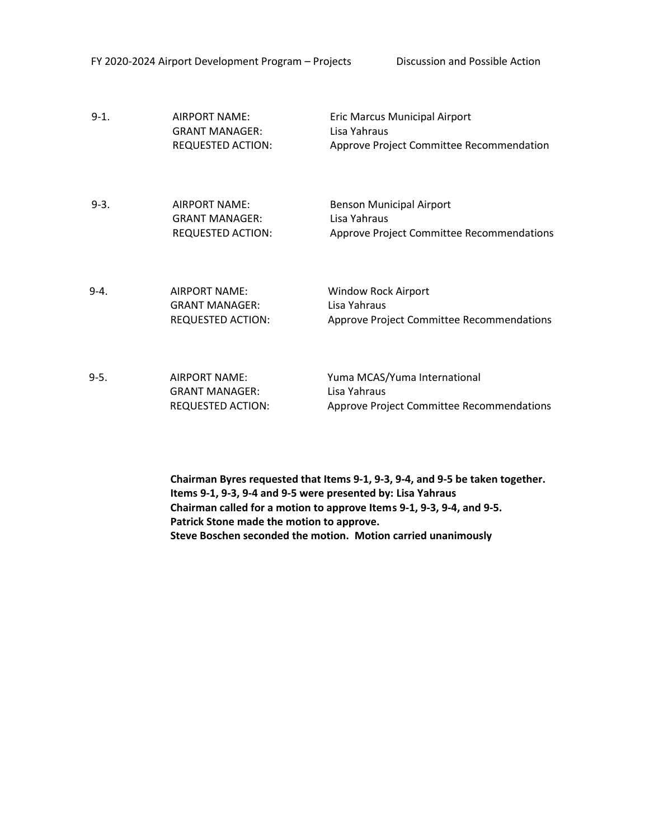| $9-1.$ | AIRPORT NAME:<br><b>GRANT MANAGER:</b><br><b>REQUESTED ACTION:</b>        | <b>Eric Marcus Municipal Airport</b><br>Lisa Yahraus<br>Approve Project Committee Recommendation |
|--------|---------------------------------------------------------------------------|--------------------------------------------------------------------------------------------------|
| $9-3.$ | <b>AIRPORT NAME:</b><br><b>GRANT MANAGER:</b><br><b>REQUESTED ACTION:</b> | <b>Benson Municipal Airport</b><br>Lisa Yahraus<br>Approve Project Committee Recommendations     |
| $9-4.$ | <b>AIRPORT NAME:</b><br><b>GRANT MANAGER:</b><br><b>REQUESTED ACTION:</b> | <b>Window Rock Airport</b><br>Lisa Yahraus<br>Approve Project Committee Recommendations          |
| 9-5.   | <b>AIRPORT NAME:</b><br><b>GRANT MANAGFR:</b><br><b>REQUESTED ACTION:</b> | Yuma MCAS/Yuma International<br>Lisa Yahraus<br>Approve Project Committee Recommendations        |

**Chairman Byres requested that Items 9-1, 9-3, 9-4, and 9-5 be taken together. Items 9-1, 9-3, 9-4 and 9-5 were presented by: Lisa Yahraus Chairman called for a motion to approve Items 9-1, 9-3, 9-4, and 9-5. Patrick Stone made the motion to approve. Steve Boschen seconded the motion. Motion carried unanimously**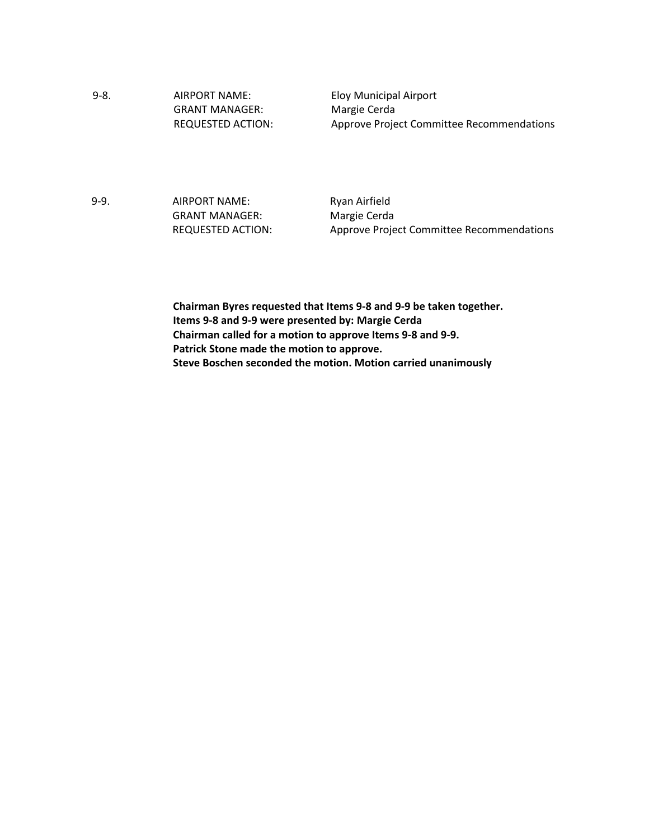9-8. AIRPORT NAME: GRANT MANAGER: REQUESTED ACTION: Eloy Municipal Airport Margie Cerda Approve Project Committee Recommendations

9-9. AIRPORT NAME: GRANT MANAGER: REQUESTED ACTION: Ryan Airfield Margie Cerda Approve Project Committee Recommendations

**Chairman Byres requested that Items 9-8 and 9-9 be taken together. Items 9-8 and 9-9 were presented by: Margie Cerda Chairman called for a motion to approve Items 9-8 and 9-9. Patrick Stone made the motion to approve. Steve Boschen seconded the motion. Motion carried unanimously**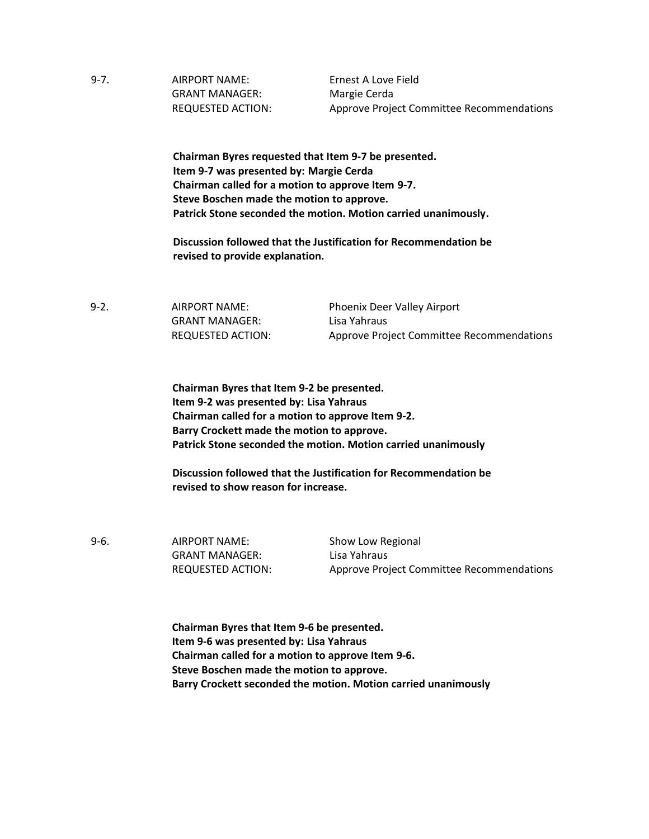9-7. AIRPORT NAME: Ernest A Love Field GRANT MANAGER: Margie Cerda

REQUESTED ACTION: Approve Project Committee Recommendations

**Chairman Byres requested that Item 9-7 be presented. Item 9-7 was presented by: Margie Cerda Chairman called for a motion to approve Item 9-7. Steve Boschen made the motion to approve. Patrick Stone seconded the motion. Motion carried unanimously.** 

**Discussion followed that the Justification for Recommendation be revised to provide explanation.** 

9-2. AIRPORT NAME: GRANT MANAGER: REQUESTED ACTION: Phoenix Deer Valley Airport Lisa Yahraus Approve Project Committee Recommendations

**Chairman Byres that Item 9-2 be presented. Item 9-2 was presented by: Lisa Yahraus Chairman called for a motion to approve Item 9-2. Barry Crockett made the motion to approve. Patrick Stone seconded the motion. Motion carried unanimously**

**Discussion followed that the Justification for Recommendation be revised to show reason for increase.** 

9-6. AIRPORT NAME: Show Low Regional GRANT MANAGER: Lisa Yahraus

REQUESTED ACTION: Approve Project Committee Recommendations

**Chairman Byres that Item 9-6 be presented. Item 9-6 was presented by: Lisa Yahraus Chairman called for a motion to approve Item 9-6. Steve Boschen made the motion to approve. Barry Crockett seconded the motion. Motion carried unanimously**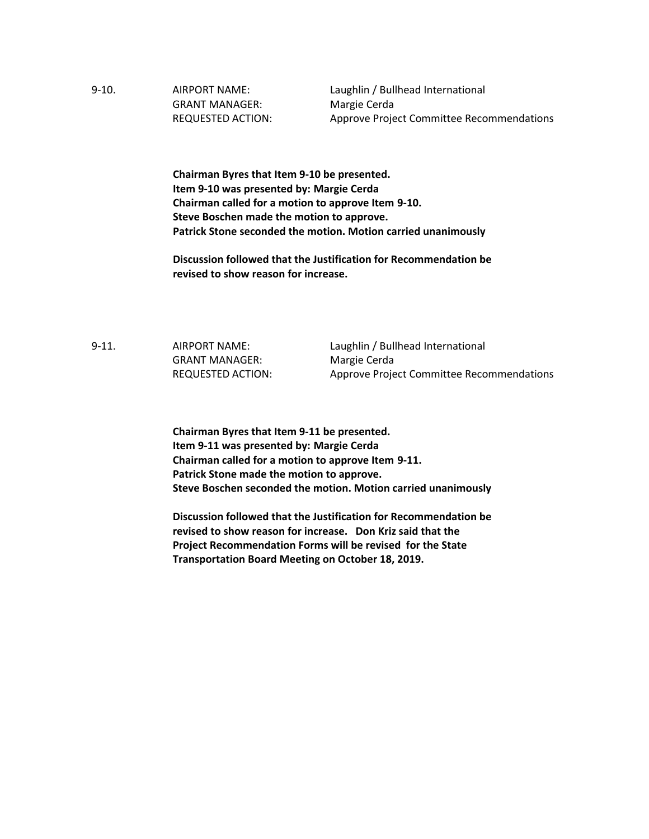9-10. AIRPORT NAME: Laughlin / Bullhead International GRANT MANAGER: Margie Cerda

REQUESTED ACTION: Approve Project Committee Recommendations

**Chairman Byres that Item 9-10 be presented. Item 9-10 was presented by: Margie Cerda Chairman called for a motion to approve Item 9-10. Steve Boschen made the motion to approve. Patrick Stone seconded the motion. Motion carried unanimously**

**Discussion followed that the Justification for Recommendation be revised to show reason for increase.** 

9-11. AIRPORT NAME: Laughlin / Bullhead International GRANT MANAGER: Margie Cerda

REQUESTED ACTION: Approve Project Committee Recommendations

**Chairman Byres that Item 9-11 be presented. Item 9-11 was presented by: Margie Cerda Chairman called for a motion to approve Item 9-11. Patrick Stone made the motion to approve. Steve Boschen seconded the motion. Motion carried unanimously**

**Discussion followed that the Justification for Recommendation be revised to show reason for increase. Don Kriz said that the Project Recommendation Forms will be revised for the State Transportation Board Meeting on October 18, 2019.**